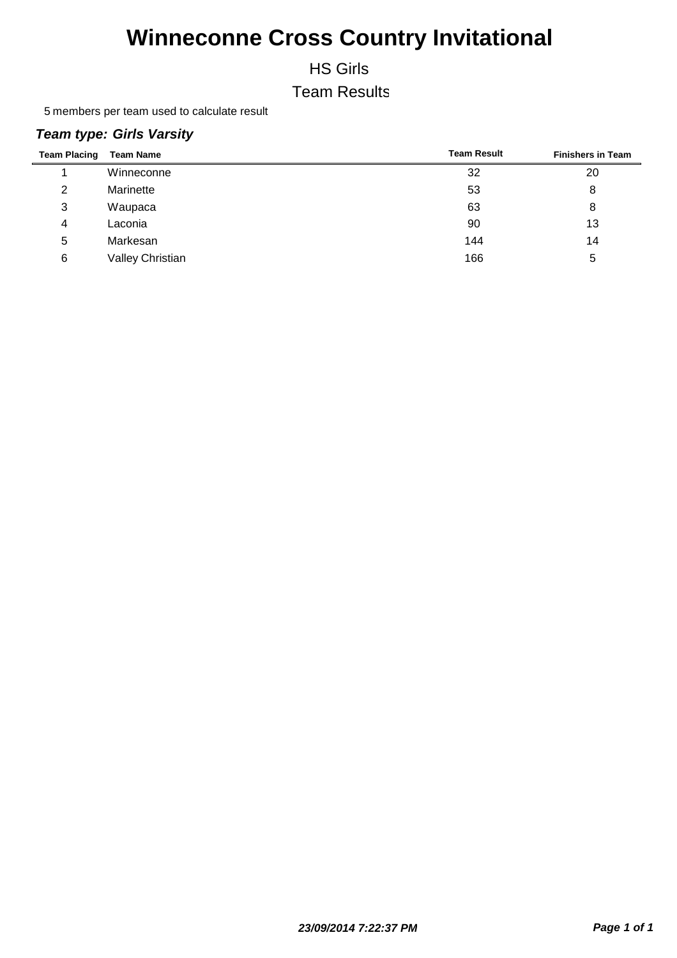HS Girls

Team Results

5 members per team used to calculate result

| <b>Team Placing</b> | <b>Team Name</b> | <b>Team Result</b> | <b>Finishers in Team</b> |
|---------------------|------------------|--------------------|--------------------------|
|                     | Winneconne       | 32                 | 20                       |
| 2                   | Marinette        | 53                 | 8                        |
| 3                   | Waupaca          | 63                 | 8                        |
| 4                   | Laconia          | 90                 | 13                       |
| 5                   | Markesan         | 144                | 14                       |
| 6                   | Valley Christian | 166                | 5                        |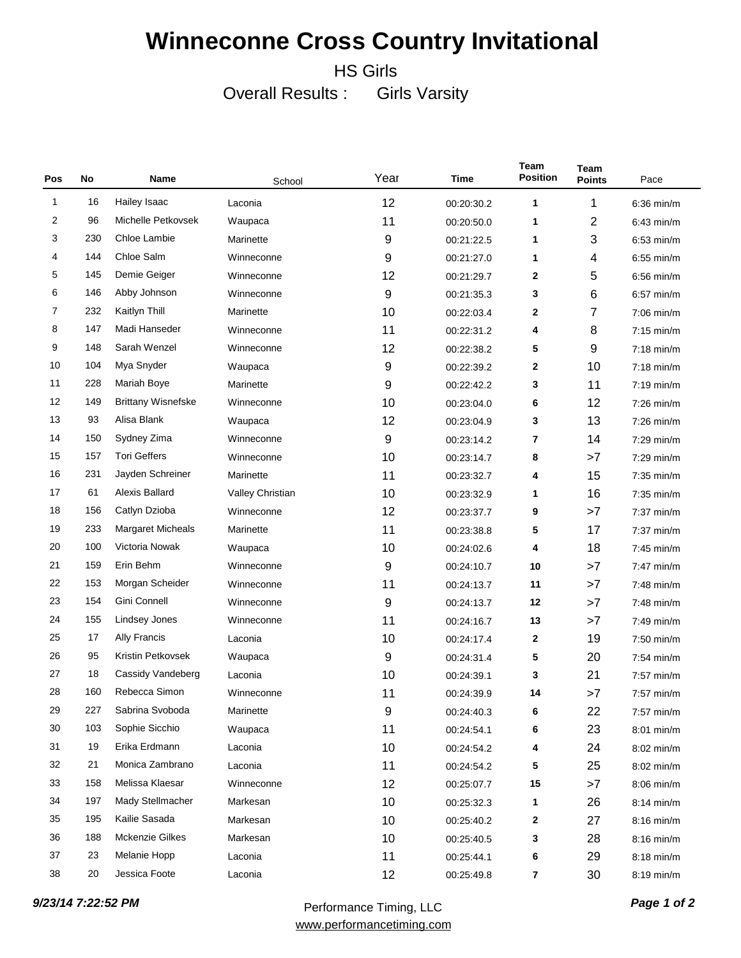HS Girls

Overall Results : Girls Varsity

| Pos | No  | Name                      | School           | Year | Time       | Team<br><b>Position</b> | <b>Team</b><br><b>Points</b> | Pace         |
|-----|-----|---------------------------|------------------|------|------------|-------------------------|------------------------------|--------------|
| 1   | 16  | Hailey Isaac              | Laconia          | 12   | 00:20:30.2 | 1                       | 1                            | $6:36$ min/m |
| 2   | 96  | Michelle Petkovsek        | Waupaca          | 11   | 00:20:50.0 | 1                       | 2                            | $6:43$ min/m |
| 3   | 230 | Chloe Lambie              | Marinette        | 9    | 00:21:22.5 | 1                       | 3                            | $6:53$ min/m |
| 4   | 144 | Chloe Salm                | Winneconne       | 9    | 00:21:27.0 | 1                       | 4                            | $6:55$ min/m |
| 5   | 145 | Demie Geiger              | Winneconne       | 12   | 00:21:29.7 | $\mathbf{2}$            | 5                            | $6:56$ min/m |
| 6   | 146 | Abby Johnson              | Winneconne       | 9    | 00:21:35.3 | 3                       | 6                            | $6:57$ min/m |
| 7   | 232 | Kaitlyn Thill             | Marinette        | 10   | 00:22:03.4 | $\mathbf{2}$            | 7                            | $7:06$ min/m |
| 8   | 147 | Madi Hanseder             | Winneconne       | 11   | 00:22:31.2 | 4                       | 8                            | $7:15$ min/m |
| 9   | 148 | Sarah Wenzel              | Winneconne       | 12   | 00:22:38.2 | 5                       | 9                            | $7:18$ min/m |
| 10  | 104 | Mya Snyder                | Waupaca          | 9    | 00:22:39.2 | $\mathbf{2}$            | 10                           | $7:18$ min/m |
| 11  | 228 | Mariah Boye               | Marinette        | 9    | 00:22:42.2 | 3                       | 11                           | $7:19$ min/m |
| 12  | 149 | <b>Brittany Wisnefske</b> | Winneconne       | 10   | 00:23:04.0 | 6                       | 12                           | $7:26$ min/m |
| 13  | 93  | Alisa Blank               | Waupaca          | 12   | 00:23:04.9 | 3                       | 13                           | $7:26$ min/m |
| 14  | 150 | Sydney Zima               | Winneconne       | 9    | 00:23:14.2 | 7                       | 14                           | $7:29$ min/m |
| 15  | 157 | <b>Tori Geffers</b>       | Winneconne       | 10   | 00:23:14.7 | 8                       | >7                           | $7:29$ min/m |
| 16  | 231 | Jayden Schreiner          | Marinette        | 11   | 00:23:32.7 | 4                       | 15                           | $7:35$ min/m |
| 17  | 61  | <b>Alexis Ballard</b>     | Valley Christian | 10   | 00:23:32.9 | 1                       | 16                           | $7:35$ min/m |
| 18  | 156 | Catlyn Dzioba             | Winneconne       | 12   | 00:23:37.7 | 9                       | >7                           | $7:37$ min/m |
| 19  | 233 | <b>Margaret Micheals</b>  | Marinette        | 11   | 00:23:38.8 | 5                       | 17                           | $7:37$ min/m |
| 20  | 100 | Victoria Nowak            | Waupaca          | 10   | 00:24:02.6 | 4                       | 18                           | $7:45$ min/m |
| 21  | 159 | Erin Behm                 | Winneconne       | 9    | 00:24:10.7 | 10                      | >7                           | $7:47$ min/m |
| 22  | 153 | Morgan Scheider           | Winneconne       | 11   | 00:24:13.7 | 11                      | >7                           | $7:48$ min/m |
| 23  | 154 | Gini Connell              | Winneconne       | 9    | 00:24:13.7 | 12                      | >7                           | $7:48$ min/m |
| 24  | 155 | Lindsey Jones             | Winneconne       | 11   | 00:24:16.7 | 13                      | >7                           | $7:49$ min/m |
| 25  | 17  | Ally Francis              | Laconia          | 10   | 00:24:17.4 | $\mathbf{2}$            | 19                           | $7:50$ min/m |
| 26  | 95  | Kristin Petkovsek         | Waupaca          | 9    | 00:24:31.4 | 5                       | 20                           | $7:54$ min/m |
| 27  | 18  | Cassidy Vandeberg         | Laconia          | 10   | 00:24:39.1 | 3                       | 21                           | $7:57$ min/m |
| 28  | 160 | Rebecca Simon             | Winneconne       | 11   | 00:24:39.9 | 14                      | >7                           | $7:57$ min/m |
| 29  | 227 | Sabrina Svoboda           | Marinette        | 9    | 00:24:40.3 | 6                       | 22                           | 7:57 min/m   |
| 30  | 103 | Sophie Sicchio            | Waupaca          | 11   | 00:24:54.1 | 6                       | 23                           | 8:01 min/m   |
| 31  | 19  | Erika Erdmann             | Laconia          | 10   | 00:24:54.2 | 4                       | 24                           | 8:02 min/m   |
| 32  | 21  | Monica Zambrano           | Laconia          | 11   | 00:24:54.2 | 5                       | 25                           | 8:02 min/m   |
| 33  | 158 | Melissa Klaesar           | Winneconne       | 12   | 00:25:07.7 | 15                      | >7                           | $8:06$ min/m |
| 34  | 197 | Mady Stellmacher          | Markesan         | 10   | 00:25:32.3 | 1                       | 26                           | $8:14$ min/m |
| 35  | 195 | Kailie Sasada             | Markesan         | 10   | 00:25:40.2 | $\mathbf{2}$            | 27                           | $8:16$ min/m |
| 36  | 188 | <b>Mckenzie Gilkes</b>    | Markesan         | 10   | 00:25:40.5 | 3                       | 28                           | $8:16$ min/m |
| 37  | 23  | Melanie Hopp              | Laconia          | 11   | 00:25:44.1 | 6                       | 29                           | 8:18 min/m   |
| 38  | 20  | Jessica Foote             | Laconia          | 12   | 00:25:49.8 | 7                       | 30                           | 8:19 min/m   |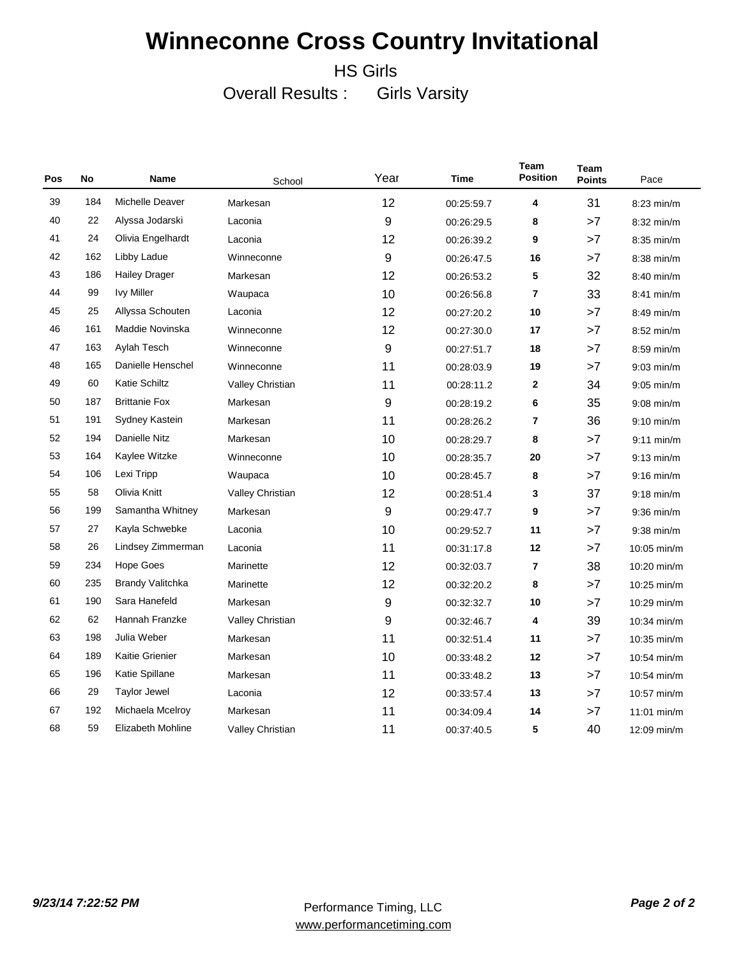HS Girls

Overall Results : Girls Varsity

| Pos | No  | Name                    | School           | Year | Time       | <b>Team</b><br><b>Position</b> | <b>Team</b><br><b>Points</b> | Pace          |
|-----|-----|-------------------------|------------------|------|------------|--------------------------------|------------------------------|---------------|
| 39  | 184 | Michelle Deaver         | Markesan         | 12   | 00:25:59.7 | 4                              | 31                           | 8:23 min/m    |
| 40  | 22  | Alyssa Jodarski         | Laconia          | 9    | 00:26:29.5 | 8                              | >7                           | 8:32 min/m    |
| 41  | 24  | Olivia Engelhardt       | Laconia          | 12   | 00:26:39.2 | 9                              | >7                           | $8:35$ min/m  |
| 42  | 162 | Libby Ladue             | Winneconne       | 9    | 00:26:47.5 | 16                             | >7                           | $8:38$ min/m  |
| 43  | 186 | <b>Hailey Drager</b>    | Markesan         | 12   | 00:26:53.2 | 5                              | 32                           | $8:40$ min/m  |
| 44  | 99  | <b>Ivy Miller</b>       | Waupaca          | 10   | 00:26:56.8 | $\overline{7}$                 | 33                           | $8:41$ min/m  |
| 45  | 25  | Allyssa Schouten        | Laconia          | 12   | 00:27:20.2 | 10                             | >7                           | $8:49$ min/m  |
| 46  | 161 | Maddie Novinska         | Winneconne       | 12   | 00:27:30.0 | 17                             | >7                           | $8:52$ min/m  |
| 47  | 163 | Aylah Tesch             | Winneconne       | 9    | 00:27:51.7 | 18                             | >7                           | $8:59$ min/m  |
| 48  | 165 | Danielle Henschel       | Winneconne       | 11   | 00:28:03.9 | 19                             | >7                           | $9:03$ min/m  |
| 49  | 60  | <b>Katie Schiltz</b>    | Valley Christian | 11   | 00:28:11.2 | $\mathbf{2}$                   | 34                           | $9:05$ min/m  |
| 50  | 187 | <b>Brittanie Fox</b>    | Markesan         | 9    | 00:28:19.2 | 6                              | 35                           | $9:08$ min/m  |
| 51  | 191 | Sydney Kastein          | Markesan         | 11   | 00:28:26.2 | $\overline{\mathbf{r}}$        | 36                           | $9:10$ min/m  |
| 52  | 194 | Danielle Nitz           | Markesan         | 10   | 00:28:29.7 | 8                              | >7                           | $9:11$ min/m  |
| 53  | 164 | Kaylee Witzke           | Winneconne       | 10   | 00:28:35.7 | 20                             | >7                           | $9:13$ min/m  |
| 54  | 106 | Lexi Tripp              | Waupaca          | 10   | 00:28:45.7 | 8                              | >7                           | $9:16$ min/m  |
| 55  | 58  | Olivia Knitt            | Valley Christian | 12   | 00:28:51.4 | 3                              | 37                           | $9:18$ min/m  |
| 56  | 199 | Samantha Whitney        | Markesan         | 9    | 00:29:47.7 | 9                              | >7                           | $9:36$ min/m  |
| 57  | 27  | Kayla Schwebke          | Laconia          | 10   | 00:29:52.7 | 11                             | >7                           | $9:38$ min/m  |
| 58  | 26  | Lindsey Zimmerman       | Laconia          | 11   | 00:31:17.8 | 12                             | >7                           | $10:05$ min/m |
| 59  | 234 | Hope Goes               | Marinette        | 12   | 00:32:03.7 | 7                              | 38                           | 10:20 min/m   |
| 60  | 235 | <b>Brandy Valitchka</b> | Marinette        | 12   | 00:32:20.2 | 8                              | >7                           | 10:25 min/m   |
| 61  | 190 | Sara Hanefeld           | Markesan         | 9    | 00:32:32.7 | 10                             | >7                           | 10:29 min/m   |
| 62  | 62  | Hannah Franzke          | Valley Christian | 9    | 00:32:46.7 | 4                              | 39                           | 10:34 min/m   |
| 63  | 198 | Julia Weber             | Markesan         | 11   | 00:32:51.4 | 11                             | >7                           | 10:35 min/m   |
| 64  | 189 | <b>Kaitie Grienier</b>  | Markesan         | 10   | 00:33:48.2 | 12                             | >7                           | 10:54 min/m   |
| 65  | 196 | Katie Spillane          | Markesan         | 11   | 00:33:48.2 | 13                             | >7                           | 10:54 min/m   |
| 66  | 29  | <b>Taylor Jewel</b>     | Laconia          | 12   | 00:33:57.4 | 13                             | >7                           | 10:57 min/m   |
| 67  | 192 | Michaela Mcelroy        | Markesan         | 11   | 00:34:09.4 | 14                             | >7                           | $11:01$ min/m |
| 68  | 59  | Elizabeth Mohline       | Valley Christian | 11   | 00:37:40.5 | 5                              | 40                           | 12:09 min/m   |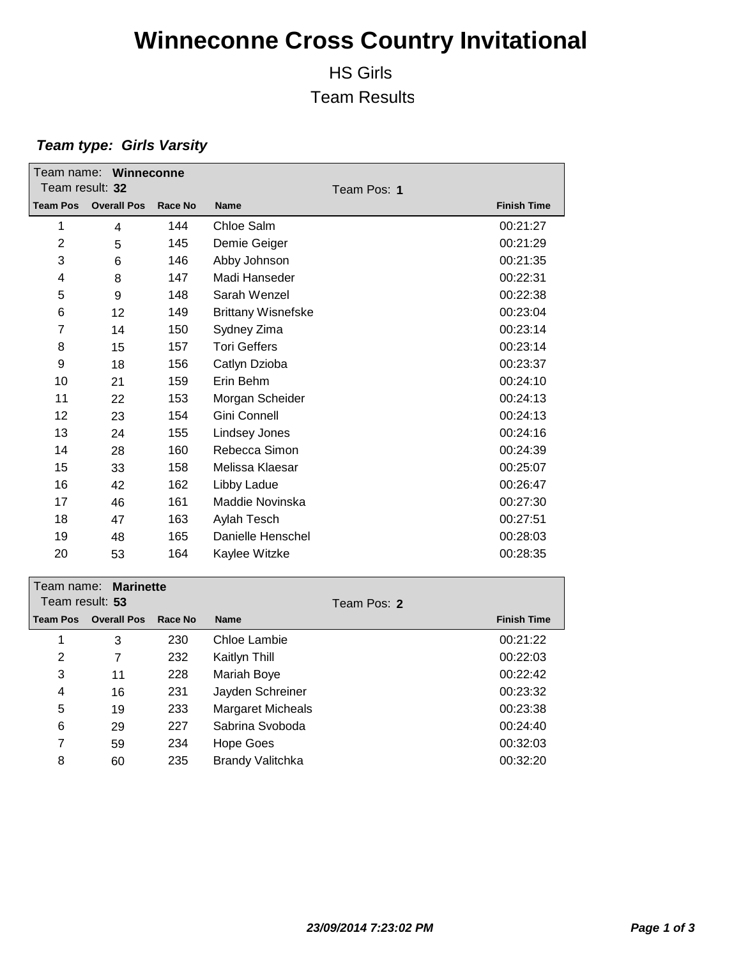### HS Girls Team Results

| Team name: Winneconne<br>Team result: 32 |                    |         |                           |                    |
|------------------------------------------|--------------------|---------|---------------------------|--------------------|
|                                          |                    |         | Team Pos: 1               |                    |
| <b>Team Pos</b>                          | <b>Overall Pos</b> | Race No | <b>Name</b>               | <b>Finish Time</b> |
| 1                                        | 4                  | 144     | Chloe Salm                | 00:21:27           |
| $\overline{2}$                           | 5                  | 145     | Demie Geiger              | 00:21:29           |
| 3                                        | 6                  | 146     | Abby Johnson              | 00:21:35           |
| 4                                        | 8                  | 147     | Madi Hanseder             | 00:22:31           |
| 5                                        | 9                  | 148     | Sarah Wenzel              | 00:22:38           |
| 6                                        | 12                 | 149     | <b>Brittany Wisnefske</b> | 00:23:04           |
| $\overline{7}$                           | 14                 | 150     | Sydney Zima               | 00:23:14           |
| 8                                        | 15                 | 157     | <b>Tori Geffers</b>       | 00:23:14           |
| 9                                        | 18                 | 156     | Catlyn Dzioba             | 00:23:37           |
| 10                                       | 21                 | 159     | Erin Behm                 | 00:24:10           |
| 11                                       | 22                 | 153     | Morgan Scheider           | 00:24:13           |
| 12                                       | 23                 | 154     | Gini Connell              | 00:24:13           |
| 13                                       | 24                 | 155     | Lindsey Jones             | 00:24:16           |
| 14                                       | 28                 | 160     | Rebecca Simon             | 00:24:39           |
| 15                                       | 33                 | 158     | Melissa Klaesar           | 00:25:07           |
| 16                                       | 42                 | 162     | Libby Ladue               | 00:26:47           |
| 17                                       | 46                 | 161     | Maddie Novinska           | 00:27:30           |
| 18                                       | 47                 | 163     | Aylah Tesch               | 00:27:51           |
| 19                                       | 48                 | 165     | Danielle Henschel         | 00:28:03           |
| 20                                       | 53                 | 164     | Kaylee Witzke             | 00:28:35           |
| Team name:                               | <b>Marinette</b>   |         |                           |                    |
| Team result: 53<br>Team Pos: 2           |                    |         |                           |                    |

| Team result: 53 |                    |         | Team Pos: 2              |                    |
|-----------------|--------------------|---------|--------------------------|--------------------|
| <b>Team Pos</b> | <b>Overall Pos</b> | Race No | <b>Name</b>              | <b>Finish Time</b> |
| 1               | 3                  | 230     | Chloe Lambie             | 00:21:22           |
| 2               | 7                  | 232     | Kaitlyn Thill            | 00:22:03           |
| 3               | 11                 | 228     | Mariah Boye              | 00:22:42           |
| 4               | 16                 | 231     | Jayden Schreiner         | 00:23:32           |
| 5               | 19                 | 233     | <b>Margaret Micheals</b> | 00:23:38           |
| 6               | 29                 | 227     | Sabrina Svoboda          | 00:24:40           |
| 7               | 59                 | 234     | Hope Goes                | 00:32:03           |
| 8               | 60                 | 235     | <b>Brandy Valitchka</b>  | 00:32:20           |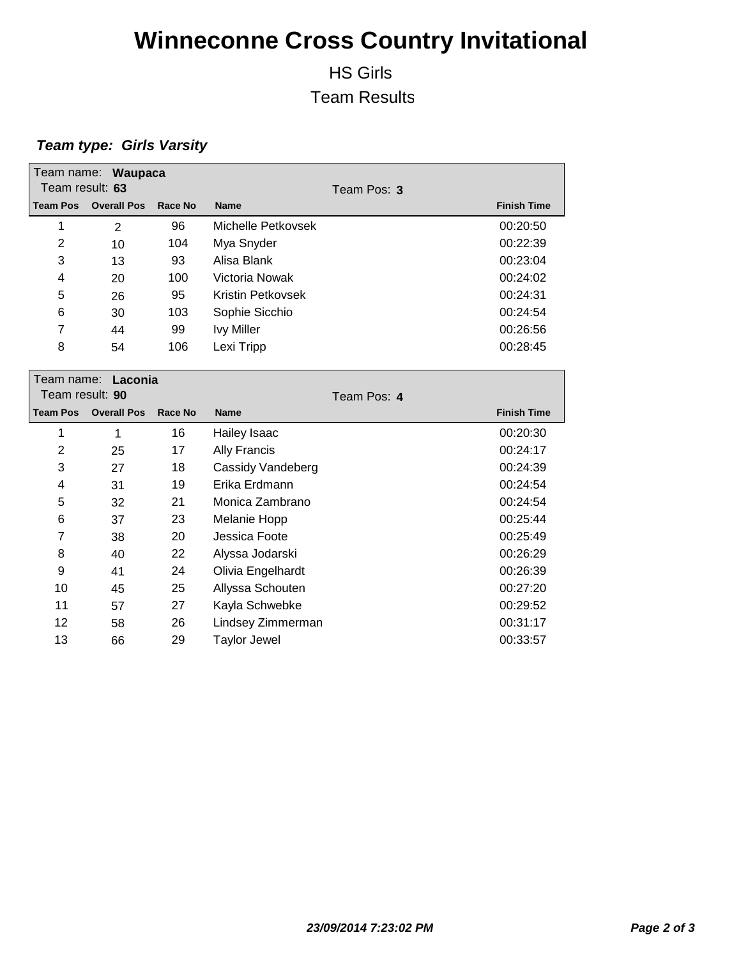### HS Girls Team Results

| Team result: 63                          | Team name: Waupaca |                | Team Pos: 3         |                    |
|------------------------------------------|--------------------|----------------|---------------------|--------------------|
| <b>Team Pos</b>                          | <b>Overall Pos</b> | <b>Race No</b> | <b>Name</b>         | <b>Finish Time</b> |
| 1                                        | $\overline{2}$     | 96             | Michelle Petkovsek  | 00:20:50           |
| 2                                        | 10                 | 104            | Mya Snyder          | 00:22:39           |
| 3                                        | 13                 | 93             | Alisa Blank         | 00:23:04           |
| 4                                        | 20                 | 100            | Victoria Nowak      | 00:24:02           |
| 5                                        | 26                 | 95             | Kristin Petkovsek   | 00:24:31           |
| 6                                        | 30                 | 103            | Sophie Sicchio      | 00:24:54           |
| 7                                        | 44                 | 99             | <b>Ivy Miller</b>   | 00:26:56           |
| 8                                        | 54                 | 106            | Lexi Tripp          | 00:28:45           |
| Team name:<br>Laconia<br>Team result: 90 |                    |                | Team Pos: 4         |                    |
|                                          |                    |                |                     |                    |
| <b>Team Pos</b>                          | <b>Overall Pos</b> | <b>Race No</b> | <b>Name</b>         | <b>Finish Time</b> |
| 1                                        | 1                  | 16             | Hailey Isaac        | 00:20:30           |
| $\overline{2}$                           | 25                 | 17             | <b>Ally Francis</b> | 00:24:17           |
| 3                                        | 27                 | 18             | Cassidy Vandeberg   | 00:24:39           |
| 4                                        | 31                 | 19             | Erika Erdmann       | 00:24:54           |
| 5                                        | 32                 | 21             | Monica Zambrano     | 00:24:54           |
| 6                                        | 37                 | 23             | Melanie Hopp        | 00:25:44           |
| 7                                        | 38                 | 20             | Jessica Foote       | 00:25:49           |
| 8                                        | 40                 | 22             | Alyssa Jodarski     | 00:26:29           |
| 9                                        | 41                 | 24             | Olivia Engelhardt   | 00:26:39           |
| 10                                       | 45                 | 25             | Allyssa Schouten    | 00:27:20           |
| 11                                       | 57                 | 27             | Kayla Schwebke      | 00:29:52           |
| 12                                       | 58                 | 26             | Lindsey Zimmerman   | 00:31:17           |